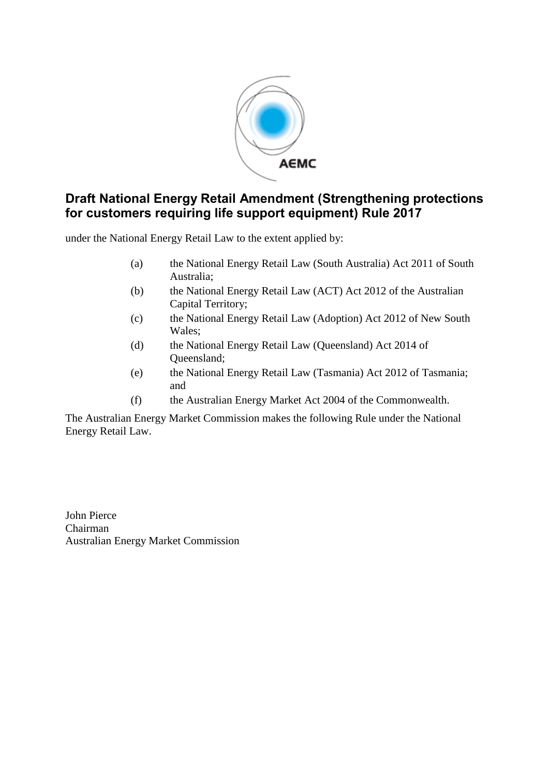

# **Draft National Energy Retail Amendment (Strengthening protections for customers requiring life support equipment) Rule 2017**

under the National Energy Retail Law to the extent applied by:

- (a) the National Energy Retail Law (South Australia) Act 2011 of South Australia;
- (b) the National Energy Retail Law (ACT) Act 2012 of the Australian Capital Territory;
- (c) the National Energy Retail Law (Adoption) Act 2012 of New South Wales;
- (d) the National Energy Retail Law (Queensland) Act 2014 of Queensland;
- (e) the National Energy Retail Law (Tasmania) Act 2012 of Tasmania; and
- (f) the Australian Energy Market Act 2004 of the Commonwealth.

The Australian Energy Market Commission makes the following Rule under the National Energy Retail Law.

John Pierce Chairman Australian Energy Market Commission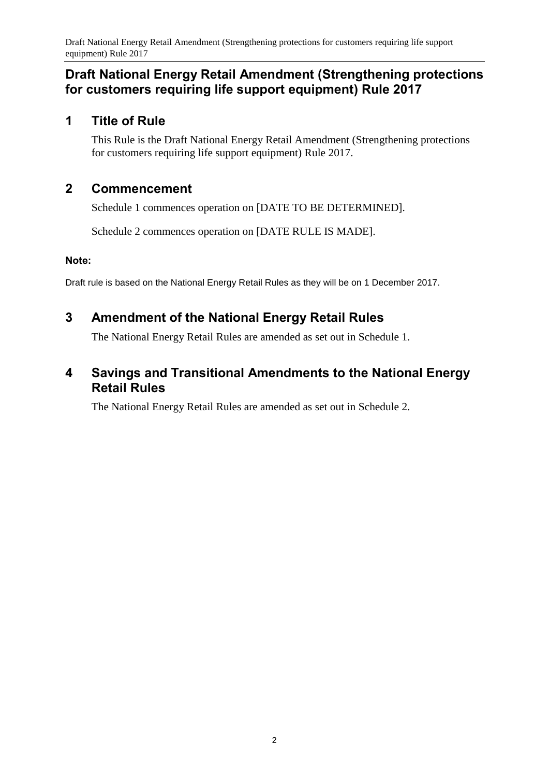# **Draft National Energy Retail Amendment (Strengthening protections for customers requiring life support equipment) Rule 2017**

# **1 Title of Rule**

This Rule is the Draft National Energy Retail Amendment (Strengthening protections for customers requiring life support equipment) Rule 2017.

## **2 Commencement**

Schedule 1 commences operation on [DATE TO BE DETERMINED].

Schedule 2 commences operation on [DATE RULE IS MADE].

## **Note:**

Draft rule is based on the National Energy Retail Rules as they will be on 1 December 2017.

# <span id="page-1-0"></span>**3 Amendment of the National Energy Retail Rules**

The National Energy Retail Rules are amended as set out in [Schedule 1.](#page-2-0)

# <span id="page-1-1"></span>**4 Savings and Transitional Amendments to the National Energy Retail Rules**

The National Energy Retail Rules are amended as set out in [Schedule 2.](#page-12-0)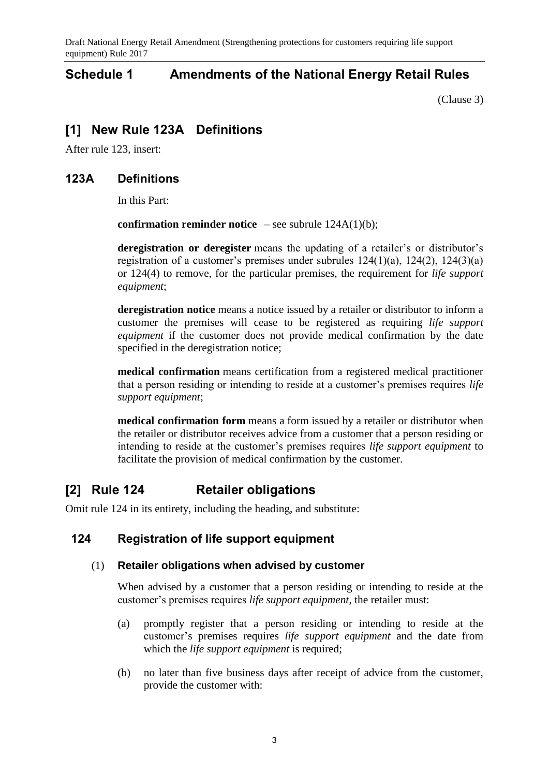Draft National Energy Retail Amendment (Strengthening protections for customers requiring life support equipment) Rule 2017

## <span id="page-2-0"></span>**Schedule 1 Amendments of the National Energy Retail Rules**

[\(Clause](#page-1-0) 3)

## **[1] New Rule 123A Definitions**

After rule 123, insert:

## **123A Definitions**

In this Part:

**confirmation reminder notice** – see subrule  $124A(1)(b)$ ;

**deregistration or deregister** means the updating of a retailer's or distributor's registration of a customer's premises under subrules 124(1)(a), 124(2), 124(3)(a) or 124(4) to remove, for the particular premises, the requirement for *life support equipment*;

**deregistration notice** means a notice issued by a retailer or distributor to inform a customer the premises will cease to be registered as requiring *life support equipment* if the customer does not provide medical confirmation by the date specified in the deregistration notice;

**medical confirmation** means certification from a registered medical practitioner that a person residing or intending to reside at a customer's premises requires *life support equipment*;

**medical confirmation form** means a form issued by a retailer or distributor when the retailer or distributor receives advice from a customer that a person residing or intending to reside at the customer's premises requires *life support equipment* to facilitate the provision of medical confirmation by the customer.

# **[2] Rule 124 Retailer obligations**

Omit rule 124 in its entirety, including the heading, and substitute:

## **124 Registration of life support equipment**

## (1) **Retailer obligations when advised by customer**

When advised by a customer that a person residing or intending to reside at the customer's premises requires *life support equipment*, the retailer must:

- (a) promptly register that a person residing or intending to reside at the customer's premises requires *life support equipment* and the date from which the *life support equipment* is required;
- (b) no later than five business days after receipt of advice from the customer, provide the customer with: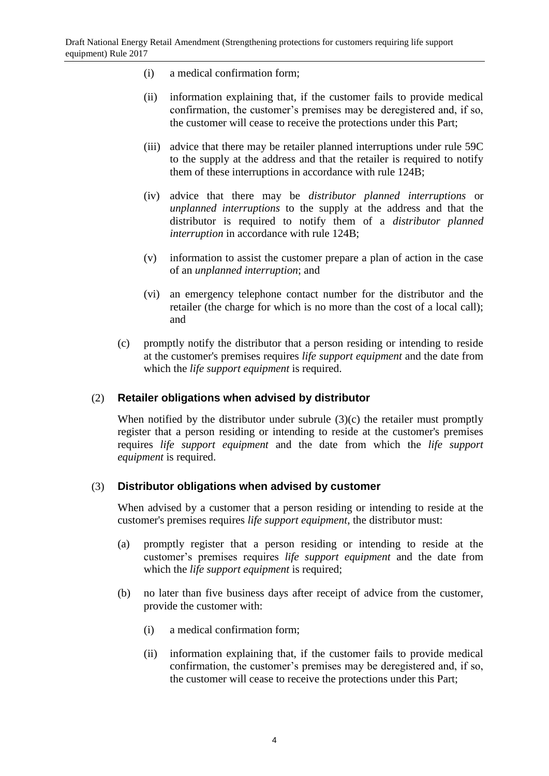- (i) a medical confirmation form;
- (ii) information explaining that, if the customer fails to provide medical confirmation, the customer's premises may be deregistered and, if so, the customer will cease to receive the protections under this Part;
- (iii) advice that there may be retailer planned interruptions under rule 59C to the supply at the address and that the retailer is required to notify them of these interruptions in accordance with rule 124B;
- (iv) advice that there may be *distributor planned interruptions* or *unplanned interruptions* to the supply at the address and that the distributor is required to notify them of a *distributor planned interruption* in accordance with rule 124B;
- (v) information to assist the customer prepare a plan of action in the case of an *unplanned interruption*; and
- (vi) an emergency telephone contact number for the distributor and the retailer (the charge for which is no more than the cost of a local call); and
- (c) promptly notify the distributor that a person residing or intending to reside at the customer's premises requires *life support equipment* and the date from which the *life support equipment* is required.

### (2) **Retailer obligations when advised by distributor**

When notified by the distributor under subrule (3)(c) the retailer must promptly register that a person residing or intending to reside at the customer's premises requires *life support equipment* and the date from which the *life support equipment* is required.

### (3) **Distributor obligations when advised by customer**

When advised by a customer that a person residing or intending to reside at the customer's premises requires *life support equipment*, the distributor must:

- (a) promptly register that a person residing or intending to reside at the customer's premises requires *life support equipment* and the date from which the *life support equipment* is required;
- (b) no later than five business days after receipt of advice from the customer, provide the customer with:
	- (i) a medical confirmation form;
	- (ii) information explaining that, if the customer fails to provide medical confirmation, the customer's premises may be deregistered and, if so, the customer will cease to receive the protections under this Part;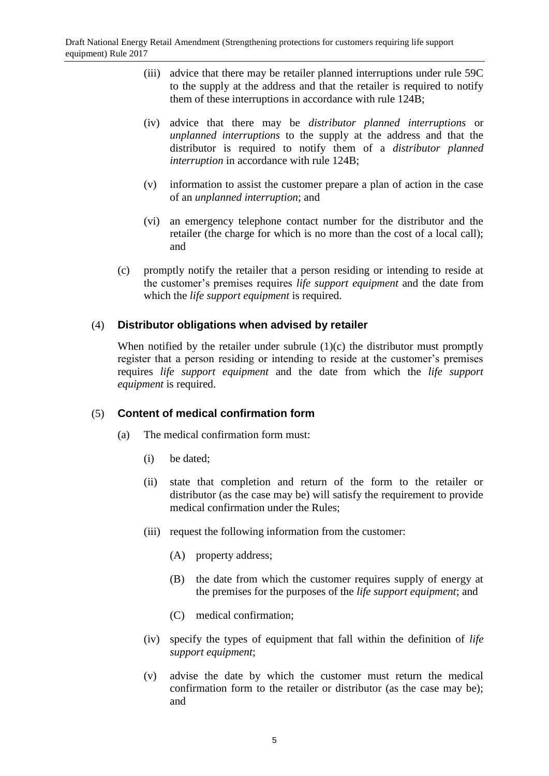- (iii) advice that there may be retailer planned interruptions under rule 59C to the supply at the address and that the retailer is required to notify them of these interruptions in accordance with rule 124B;
- (iv) advice that there may be *distributor planned interruptions* or *unplanned interruptions* to the supply at the address and that the distributor is required to notify them of a *distributor planned interruption* in accordance with rule 124B;
- (v) information to assist the customer prepare a plan of action in the case of an *unplanned interruption*; and
- (vi) an emergency telephone contact number for the distributor and the retailer (the charge for which is no more than the cost of a local call); and
- (c) promptly notify the retailer that a person residing or intending to reside at the customer's premises requires *life support equipment* and the date from which the *life support equipment* is required.

## (4) **Distributor obligations when advised by retailer**

When notified by the retailer under subrule  $(1)(c)$  the distributor must promptly register that a person residing or intending to reside at the customer's premises requires *life support equipment* and the date from which the *life support equipment* is required.

### (5) **Content of medical confirmation form**

- (a) The medical confirmation form must:
	- (i) be dated;
	- (ii) state that completion and return of the form to the retailer or distributor (as the case may be) will satisfy the requirement to provide medical confirmation under the Rules;
	- (iii) request the following information from the customer:
		- (A) property address;
		- (B) the date from which the customer requires supply of energy at the premises for the purposes of the *life support equipment*; and
		- (C) medical confirmation;
	- (iv) specify the types of equipment that fall within the definition of *life support equipment*;
	- (v) advise the date by which the customer must return the medical confirmation form to the retailer or distributor (as the case may be); and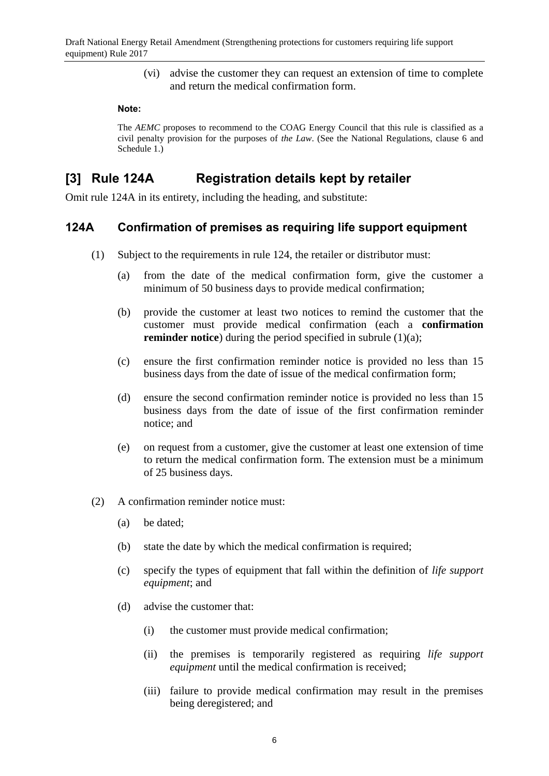(vi) advise the customer they can request an extension of time to complete and return the medical confirmation form.

#### **Note:**

The *AEMC* proposes to recommend to the COAG Energy Council that this rule is classified as a civil penalty provision for the purposes of *the Law*. (See the National Regulations, clause 6 and Schedule 1.)

## **[3] Rule 124A Registration details kept by retailer**

Omit rule 124A in its entirety, including the heading, and substitute:

## **124A Confirmation of premises as requiring life support equipment**

- (1) Subject to the requirements in rule 124, the retailer or distributor must:
	- (a) from the date of the medical confirmation form, give the customer a minimum of 50 business days to provide medical confirmation;
	- (b) provide the customer at least two notices to remind the customer that the customer must provide medical confirmation (each a **confirmation reminder notice**) during the period specified in subrule (1)(a);
	- (c) ensure the first confirmation reminder notice is provided no less than 15 business days from the date of issue of the medical confirmation form;
	- (d) ensure the second confirmation reminder notice is provided no less than 15 business days from the date of issue of the first confirmation reminder notice; and
	- (e) on request from a customer, give the customer at least one extension of time to return the medical confirmation form. The extension must be a minimum of 25 business days.
- (2) A confirmation reminder notice must:
	- (a) be dated;
	- (b) state the date by which the medical confirmation is required;
	- (c) specify the types of equipment that fall within the definition of *life support equipment*; and
	- (d) advise the customer that:
		- (i) the customer must provide medical confirmation;
		- (ii) the premises is temporarily registered as requiring *life support equipment* until the medical confirmation is received;
		- (iii) failure to provide medical confirmation may result in the premises being deregistered; and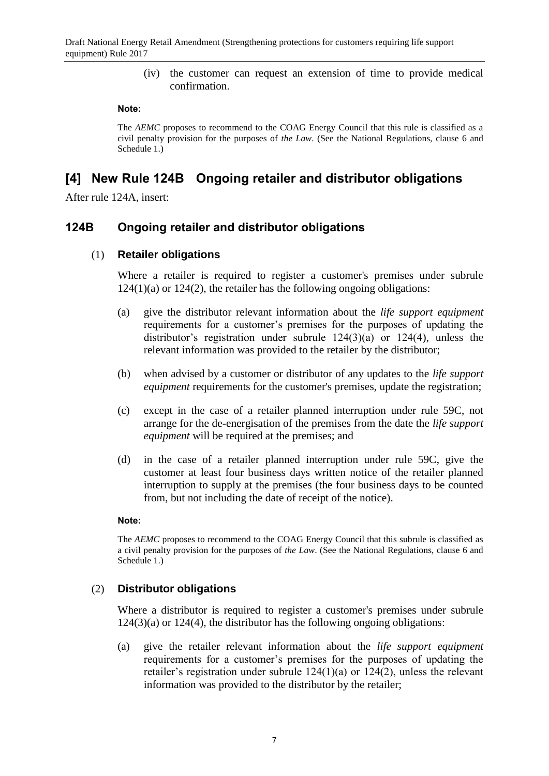(iv) the customer can request an extension of time to provide medical confirmation.

#### **Note:**

The *AEMC* proposes to recommend to the COAG Energy Council that this rule is classified as a civil penalty provision for the purposes of *the Law*. (See the National Regulations, clause 6 and Schedule 1.)

## **[4] New Rule 124B Ongoing retailer and distributor obligations**

After rule 124A, insert:

## **124B Ongoing retailer and distributor obligations**

### (1) **Retailer obligations**

Where a retailer is required to register a customer's premises under subrule  $124(1)(a)$  or  $124(2)$ , the retailer has the following ongoing obligations:

- (a) give the distributor relevant information about the *life support equipment* requirements for a customer's premises for the purposes of updating the distributor's registration under subrule 124(3)(a) or 124(4), unless the relevant information was provided to the retailer by the distributor;
- (b) when advised by a customer or distributor of any updates to the *life support equipment* requirements for the customer's premises, update the registration;
- (c) except in the case of a retailer planned interruption under rule 59C, not arrange for the de-energisation of the premises from the date the *life support equipment* will be required at the premises; and
- (d) in the case of a retailer planned interruption under rule 59C, give the customer at least four business days written notice of the retailer planned interruption to supply at the premises (the four business days to be counted from, but not including the date of receipt of the notice).

### **Note:**

The *AEMC* proposes to recommend to the COAG Energy Council that this subrule is classified as a civil penalty provision for the purposes of *the Law*. (See the National Regulations, clause 6 and Schedule 1.)

## (2) **Distributor obligations**

Where a distributor is required to register a customer's premises under subrule  $124(3)(a)$  or  $124(4)$ , the distributor has the following ongoing obligations:

(a) give the retailer relevant information about the *life support equipment* requirements for a customer's premises for the purposes of updating the retailer's registration under subrule 124(1)(a) or 124(2), unless the relevant information was provided to the distributor by the retailer;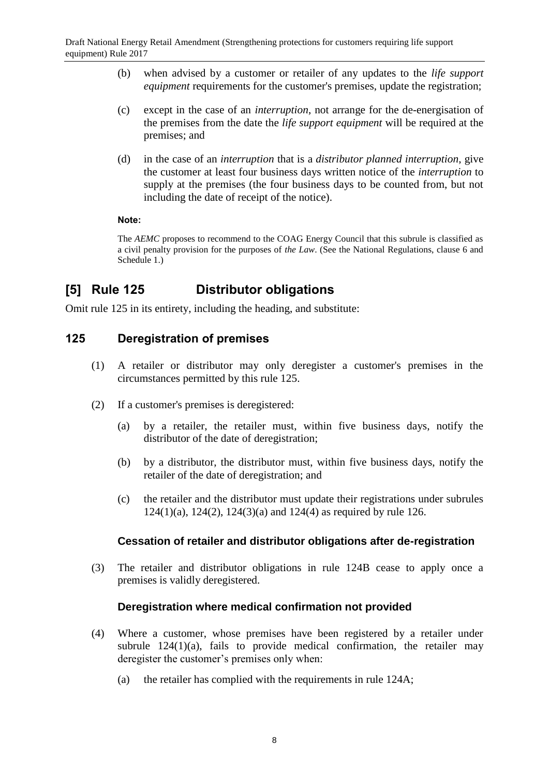- (b) when advised by a customer or retailer of any updates to the *life support equipment* requirements for the customer's premises, update the registration;
- (c) except in the case of an *interruption*, not arrange for the de-energisation of the premises from the date the *life support equipment* will be required at the premises; and
- (d) in the case of an *interruption* that is a *distributor planned interruption*, give the customer at least four business days written notice of the *interruption* to supply at the premises (the four business days to be counted from, but not including the date of receipt of the notice).

### **Note:**

The *AEMC* proposes to recommend to the COAG Energy Council that this subrule is classified as a civil penalty provision for the purposes of *the Law*. (See the National Regulations, clause 6 and Schedule 1.)

# **[5] Rule 125 Distributor obligations**

Omit rule 125 in its entirety, including the heading, and substitute:

# **125 Deregistration of premises**

- (1) A retailer or distributor may only deregister a customer's premises in the circumstances permitted by this rule 125.
- (2) If a customer's premises is deregistered:
	- (a) by a retailer, the retailer must, within five business days, notify the distributor of the date of deregistration;
	- (b) by a distributor, the distributor must, within five business days, notify the retailer of the date of deregistration; and
	- (c) the retailer and the distributor must update their registrations under subrules 124(1)(a), 124(2), 124(3)(a) and 124(4) as required by rule 126.

## **Cessation of retailer and distributor obligations after de-registration**

(3) The retailer and distributor obligations in rule 124B cease to apply once a premises is validly deregistered.

## **Deregistration where medical confirmation not provided**

- (4) Where a customer, whose premises have been registered by a retailer under subrule  $124(1)(a)$ , fails to provide medical confirmation, the retailer may deregister the customer's premises only when:
	- (a) the retailer has complied with the requirements in rule 124A;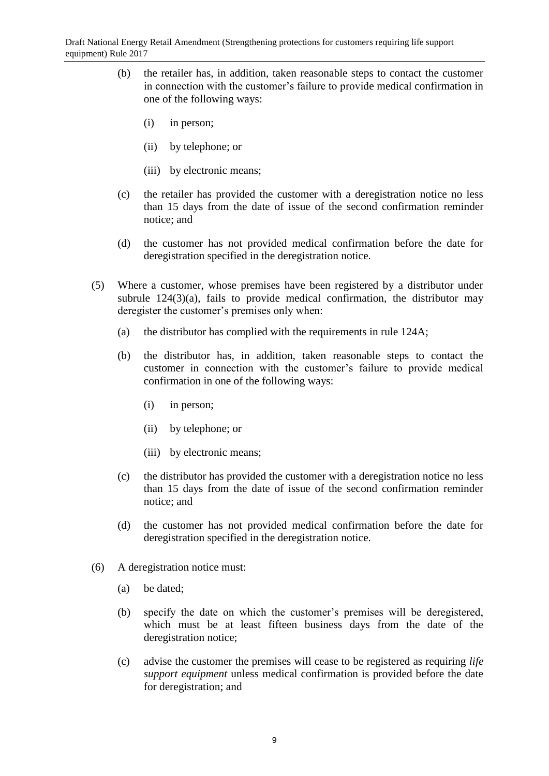- (b) the retailer has, in addition, taken reasonable steps to contact the customer in connection with the customer's failure to provide medical confirmation in one of the following ways:
	- (i) in person;
	- (ii) by telephone; or
	- (iii) by electronic means;
- (c) the retailer has provided the customer with a deregistration notice no less than 15 days from the date of issue of the second confirmation reminder notice; and
- (d) the customer has not provided medical confirmation before the date for deregistration specified in the deregistration notice.
- (5) Where a customer, whose premises have been registered by a distributor under subrule  $124(3)(a)$ , fails to provide medical confirmation, the distributor may deregister the customer's premises only when:
	- (a) the distributor has complied with the requirements in rule 124A;
	- (b) the distributor has, in addition, taken reasonable steps to contact the customer in connection with the customer's failure to provide medical confirmation in one of the following ways:
		- (i) in person;
		- (ii) by telephone; or
		- (iii) by electronic means;
	- (c) the distributor has provided the customer with a deregistration notice no less than 15 days from the date of issue of the second confirmation reminder notice; and
	- (d) the customer has not provided medical confirmation before the date for deregistration specified in the deregistration notice.
- (6) A deregistration notice must:
	- (a) be dated;
	- (b) specify the date on which the customer's premises will be deregistered, which must be at least fifteen business days from the date of the deregistration notice;
	- (c) advise the customer the premises will cease to be registered as requiring *life support equipment* unless medical confirmation is provided before the date for deregistration; and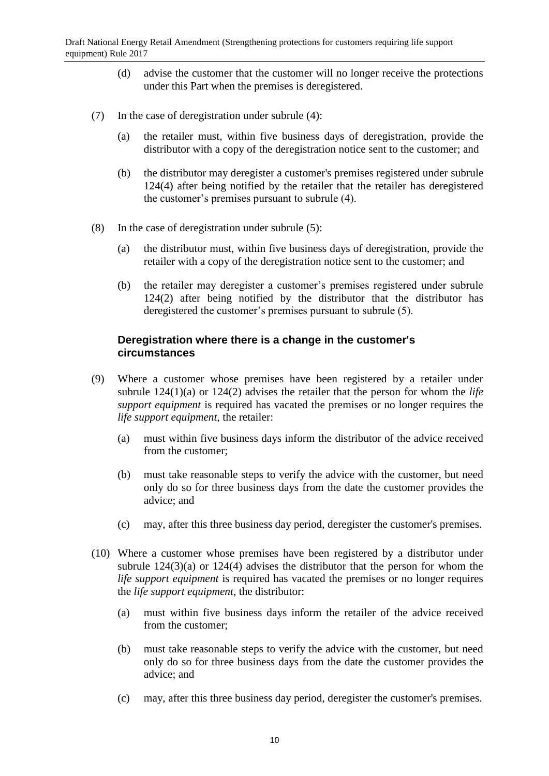- (d) advise the customer that the customer will no longer receive the protections under this Part when the premises is deregistered.
- (7) In the case of deregistration under subrule (4):
	- (a) the retailer must, within five business days of deregistration, provide the distributor with a copy of the deregistration notice sent to the customer; and
	- (b) the distributor may deregister a customer's premises registered under subrule 124(4) after being notified by the retailer that the retailer has deregistered the customer's premises pursuant to subrule (4).
- (8) In the case of deregistration under subrule (5):
	- (a) the distributor must, within five business days of deregistration, provide the retailer with a copy of the deregistration notice sent to the customer; and
	- (b) the retailer may deregister a customer's premises registered under subrule 124(2) after being notified by the distributor that the distributor has deregistered the customer's premises pursuant to subrule (5).

### **Deregistration where there is a change in the customer's circumstances**

- (9) Where a customer whose premises have been registered by a retailer under subrule 124(1)(a) or 124(2) advises the retailer that the person for whom the *life support equipment* is required has vacated the premises or no longer requires the *life support equipment*, the retailer:
	- (a) must within five business days inform the distributor of the advice received from the customer;
	- (b) must take reasonable steps to verify the advice with the customer, but need only do so for three business days from the date the customer provides the advice; and
	- (c) may, after this three business day period, deregister the customer's premises.
- (10) Where a customer whose premises have been registered by a distributor under subrule  $124(3)(a)$  or  $124(4)$  advises the distributor that the person for whom the *life support equipment* is required has vacated the premises or no longer requires the *life support equipment*, the distributor:
	- (a) must within five business days inform the retailer of the advice received from the customer;
	- (b) must take reasonable steps to verify the advice with the customer, but need only do so for three business days from the date the customer provides the advice; and
	- (c) may, after this three business day period, deregister the customer's premises.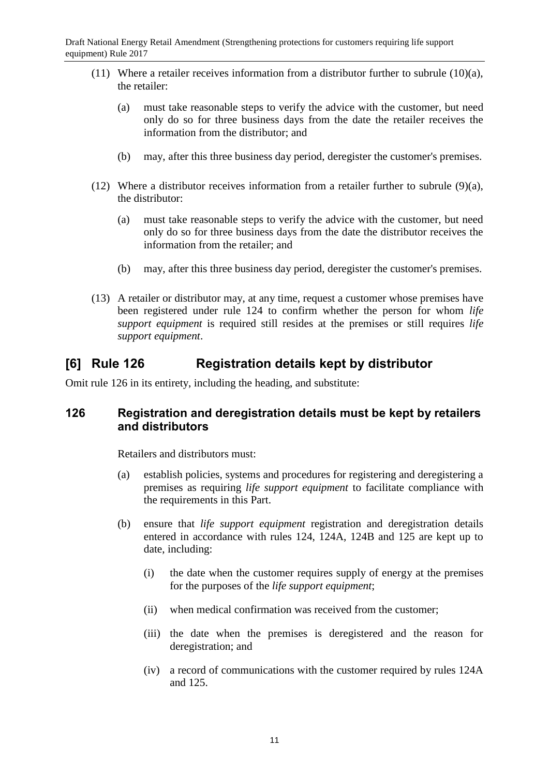- (11) Where a retailer receives information from a distributor further to subrule  $(10)(a)$ , the retailer:
	- (a) must take reasonable steps to verify the advice with the customer, but need only do so for three business days from the date the retailer receives the information from the distributor; and
	- (b) may, after this three business day period, deregister the customer's premises.
- (12) Where a distributor receives information from a retailer further to subrule (9)(a), the distributor:
	- (a) must take reasonable steps to verify the advice with the customer, but need only do so for three business days from the date the distributor receives the information from the retailer; and
	- (b) may, after this three business day period, deregister the customer's premises.
- (13) A retailer or distributor may, at any time, request a customer whose premises have been registered under rule 124 to confirm whether the person for whom *life support equipment* is required still resides at the premises or still requires *life support equipment*.

# **[6] Rule 126 Registration details kept by distributor**

Omit rule 126 in its entirety, including the heading, and substitute:

## **126 Registration and deregistration details must be kept by retailers and distributors**

Retailers and distributors must:

- (a) establish policies, systems and procedures for registering and deregistering a premises as requiring *life support equipment* to facilitate compliance with the requirements in this Part.
- (b) ensure that *life support equipment* registration and deregistration details entered in accordance with rules 124, 124A, 124B and 125 are kept up to date, including:
	- (i) the date when the customer requires supply of energy at the premises for the purposes of the *life support equipment*;
	- (ii) when medical confirmation was received from the customer;
	- (iii) the date when the premises is deregistered and the reason for deregistration; and
	- (iv) a record of communications with the customer required by rules 124A and 125.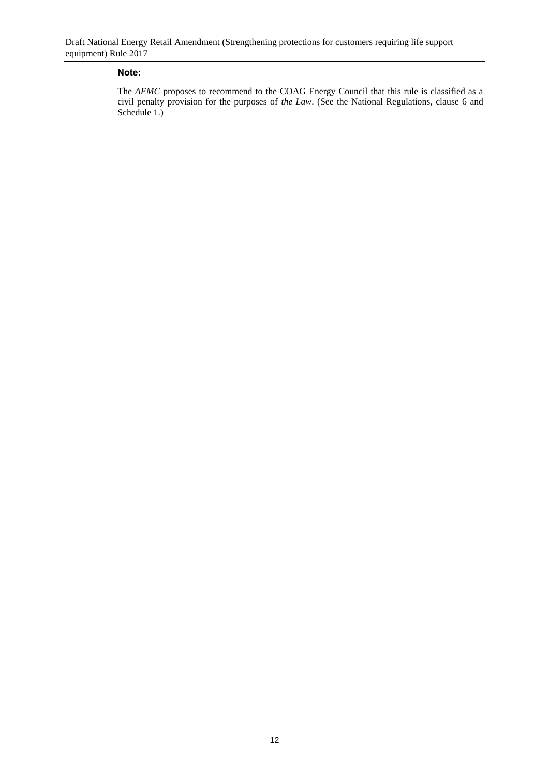#### **Note:**

The *AEMC* proposes to recommend to the COAG Energy Council that this rule is classified as a civil penalty provision for the purposes of *the Law*. (See the National Regulations, clause 6 and Schedule 1.)